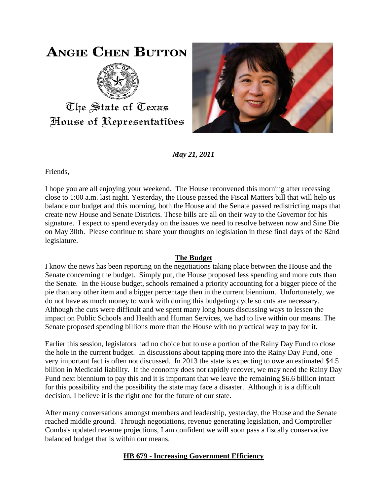## **ANGIE CHEN BUTTON**



The State of Texas House of Representatibes



*May 21, 2011*

Friends,

I hope you are all enjoying your weekend. The House reconvened this morning after recessing close to 1:00 a.m. last night. Yesterday, the House passed the Fiscal Matters bill that will help us balance our budget and this morning, both the House and the Senate passed redistricting maps that create new House and Senate Districts. These bills are all on their way to the Governor for his signature. I expect to spend everyday on the issues we need to resolve between now and Sine Die on May 30th. Please continue to share your thoughts on legislation in these final days of the 82nd legislature.

## **The Budget**

I know the news has been reporting on the negotiations taking place between the House and the Senate concerning the budget. Simply put, the House proposed less spending and more cuts than the Senate. In the House budget, schools remained a priority accounting for a bigger piece of the pie than any other item and a bigger percentage then in the current biennium. Unfortunately, we do not have as much money to work with during this budgeting cycle so cuts are necessary. Although the cuts were difficult and we spent many long hours discussing ways to lessen the impact on Public Schools and Health and Human Services, we had to live within our means. The Senate proposed spending billions more than the House with no practical way to pay for it.

Earlier this session, legislators had no choice but to use a portion of the Rainy Day Fund to close the hole in the current budget. In discussions about tapping more into the Rainy Day Fund, one very important fact is often not discussed. In 2013 the state is expecting to owe an estimated \$4.5 billion in Medicaid liability. If the economy does not rapidly recover, we may need the Rainy Day Fund next biennium to pay this and it is important that we leave the remaining \$6.6 billion intact for this possibility and the possibility the state may face a disaster. Although it is a difficult decision, I believe it is the right one for the future of our state.

After many conversations amongst members and leadership, yesterday, the House and the Senate reached middle ground. Through negotiations, revenue generating legislation, and Comptroller Combs's updated revenue projections, I am confident we will soon pass a fiscally conservative balanced budget that is within our means.

## **HB 679 - Increasing Government Efficiency**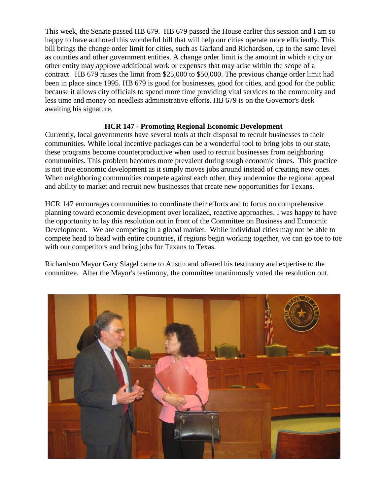This week, the Senate passed HB 679. HB 679 passed the House earlier this session and I am so happy to have authored this wonderful bill that will help our cities operate more efficiently. This bill brings the change order limit for cities, such as Garland and Richardson, up to the same level as counties and other government entities. A change order limit is the amount in which a city or other entity may approve additional work or expenses that may arise within the scope of a contract. HB 679 raises the limit from \$25,000 to \$50,000. The previous change order limit had been in place since 1995. HB 679 is good for businesses, good for cities, and good for the public because it allows city officials to spend more time providing vital services to the community and less time and money on needless administrative efforts. HB 679 is on the Governor's desk awaiting his signature.

## **HCR 147 - Promoting Regional Economic Development**

Currently, local governments have several tools at their disposal to recruit businesses to their communities. While local incentive packages can be a wonderful tool to bring jobs to our state, these programs become counterproductive when used to recruit businesses from neighboring communities. This problem becomes more prevalent during tough economic times. This practice is not true economic development as it simply moves jobs around instead of creating new ones. When neighboring communities compete against each other, they undermine the regional appeal and ability to market and recruit new businesses that create new opportunities for Texans.

HCR 147 encourages communities to coordinate their efforts and to focus on comprehensive planning toward economic development over localized, reactive approaches. I was happy to have the opportunity to lay this resolution out in front of the Committee on Business and Economic Development. We are competing in a global market. While individual cities may not be able to compete head to head with entire countries, if regions begin working together, we can go toe to toe with our competitors and bring jobs for Texans to Texas.

Richardson Mayor Gary Slagel came to Austin and offered his testimony and expertise to the committee. After the Mayor's testimony, the committee unanimously voted the resolution out.